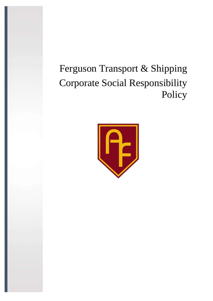# Ferguson Transport & Shipping Corporate Social Responsibility Policy

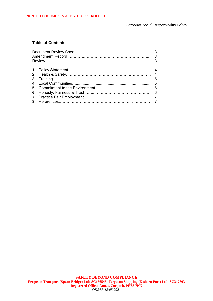#### Corporate Social Responsibility Policy

# **Table of Contents**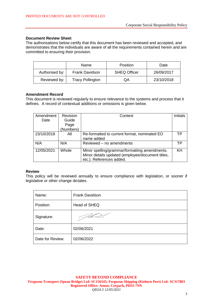#### **Document Review Sheet**

The authorisations below certify that this document has been reviewed and accepted, and demonstrates that the individuals are aware of all the requirements contained herein and are committed to ensuring their provision.

|                                         | Name           | <b>Position</b>     | Date       |
|-----------------------------------------|----------------|---------------------|------------|
| Authorised by:                          | Frank Davidson | <b>SHEQ Officer</b> | 26/09/2017 |
| <b>Tracy Pollington</b><br>Reviewed by: |                | QA                  | 23/10/2018 |

#### **Amendment Record**

This document is reviewed regularly to ensure relevance to the systems and process that it defines. A record of contextual additions or omissions is given below.

| Amendment  | Revision  | Context                                          | <b>Initials</b> |
|------------|-----------|--------------------------------------------------|-----------------|
| Date       | Guide     |                                                  |                 |
|            | Page      |                                                  |                 |
|            | (Numbers) |                                                  |                 |
| 23/10/2018 | All       | Re-formatted to current format, nominated EO     | ТP              |
|            |           | name added                                       |                 |
| N/A        | N/A       | Reviewed - no amendments                         | ТP              |
| 12/05/2021 | Whole     | Minor spelling/grammar/formatting amendments.    | KH              |
|            |           | Minor details updated (employee/document titles, |                 |
|            |           | etc.). References added.                         |                 |

#### **Review**

This policy will be reviewed annually to ensure compliance with legislation, or sooner if legislative or other change dictates.

| Name:            | Frank Davidson |
|------------------|----------------|
| Position:        | Head of SHEQ   |
| Signature:       |                |
| Date:            | 02/06/2021     |
| Date for Review: | 02/06/2022     |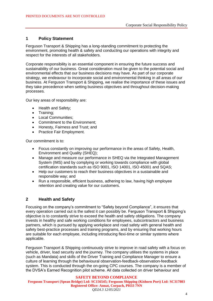## **1 Policy Statement**

Ferguson Transport & Shipping has a long-standing commitment to protecting the environment, promoting health & safety and conducting our operations with integrity and respect for the interests of all stakeholders.

Corporate responsibility is an essential component in ensuring the future success and sustainability of our business. Great consideration must be given to the potential social and environmental effects that our business decisions may have. As part of our corporate strategy, we endeavour to incorporate social and environmental thinking in all areas of our business. At Ferguson Transport & Shipping, we realise the importance of these issues and they take precedence when setting business objectives and throughout decision-making processes.

Our key areas of responsibility are:

- Health and Safety;
- Training;
- Local Communities:
- Commitment to the Environment:
- Honesty, Fairness and Trust: and
- Practice Fair Employment.

Our commitment is to:

- Focus constantly on improving our performance in the areas of Safety, Health, Environment and Quality (SHEQ);
- Manage and measure our performance in SHEQ via the Integrated Management System (IMS) and by complying or working towards compliance with global certification standards such as ISO 9001, ISO 14001, ISO 45001 and SQAS;
- Help our customers to reach their business objectives in a sustainable and responsible way; and
- Run a responsible, efficient business, adhering to law, having high employee retention and creating value for our customers.

# **2 Health and Safety**

Focusing on the company's commitment to "Safety beyond Compliance", it ensures that every operation carried out is the safest it can possibly be. Ferguson Transport & Shipping's objective is to constantly strive to exceed the health and safety obligations. The company invests in healthy and safe working conditions for employees, subcontractors and business partners, which is pursued by applying workplace and road safety with general health and safety best-practice processes and training programs, and by ensuring that working hours are suitable for each employee, including introducing flexi-time or similar systems where applicable.

Ferguson Transport & Shipping continuously strive to improve in road safety with a focus on vehicle, driver, load security and the journey. The company utilises the systems in place (such as Mandata) and skills of the Driver Training and Compliance Manager to ensure a culture of learning through the behavioural observation-feedback-observation-feedback system. This is conducted through the on-going CPC courses. The company is a member of the DVSA's Earned Recognition pilot scheme. All data collected on driver behaviour and

**SAFETY BEYOND COMPLIANCE Ferguson Transport (Spean Bridge) Ltd: SC156545; Ferguson Shipping (Kishorn Port) Ltd: SC317803 Registered Office: Annat, Corpach, PH33 7NN** *QD24.3 12/05/2021*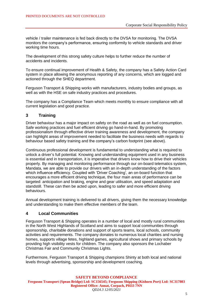vehicle / trailer maintenance is fed back directly to the DVSA for monitoring. The DVSA monitors the company's performance, ensuring conformity to vehicle standards and driver working time hours.

The development of this strong safety culture helps to further reduce the number of accidents and incidents.

To ensure continual improvement of Health & Safety, the company has a Safety Action Card system in place allowing the anonymous reporting of any concerns, which are logged and actioned through the SHEQ department.

Ferguson Transport & Shipping works with manufacturers, industry bodies and groups, as well as with the HSE on safe industry practices and procedures.

The company has a Compliance Team which meets monthly to ensure compliance with all current legislation and good practice.

# **3 Training**

Driver behaviour has a major impact on safety on the road as well as on fuel consumption. Safe working practices and fuel efficient driving go hand-in-hand. By promoting professionalism through effective driver training awareness and development, the company can highlight areas of improvement needed to facilitate the business needs with regards to behaviour based safety training and the company's carbon footprint (see above).

Continuous professional development is fundamental to understanding what is required to unlock a driver's full potential. Knowing and understanding equipment used in any business is essential and in transportation, it is imperative that drivers know how to drive their vehicles properly. By managing and monitoring performance through our on-board telematics system, Mandata, we are able to provide our drivers with an in-depth understanding of the factors which influence efficiency. Coupled with 'Driver Coaching', an on-board function that encourages a more efficient driving technique, the four main areas of performance can be targeted: anticipation and braking, engine and gear utilisation, and speed adaptation and standstill. These can then be acted upon, leading to safer and more efficient driving behaviours.

Annual development training is delivered to all drivers, giving them the necessary knowledge and understanding to make them effective members of the team.

### **4 Local Communities**

Ferguson Transport & Shipping operates in a number of local and mostly rural communities in the North West Highlands of Scotland and aims to support local communities through sponsorship, charitable donations and support of sports teams, local schools, community activities and requirements. The company donates to numerous local charities and nursing homes, supports village fetes, highland games, agricultural shows and primary schools by providing high visibility vests for children. The company also sponsors the Lochaber Christmas Fair and Community Christmas Lights.

Furthermore, Ferguson Transport & Shipping champions Shinty at both local and national levels through advertising, sponsorship and development coaching.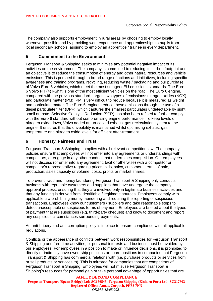The company also supports employment in rural areas by choosing to employ locally whenever possible and by providing work experience and apprenticeships to pupils from local secondary schools, aspiring to employ an apprentice / trainee in every department.

## **5 Commitment to the Environment**

Ferguson Transport & Shipping seeks to minimise any potential negative impact of its activities on the environment. The company is committed to reducing its carbon footprint and an objective is to reduce the consumption of energy and other natural resources and vehicle emissions. This is pursued through a broad range of actions and initiatives, including specific awareness and training programs, recycling, reducing waste / packaging and our purchase of Volvo Euro 6 vehicles, which meet the most stringent EU emissions standards. The Euro 6 Volvo FH (4) I-Shift is one of the most efficient vehicles on the road. The Euro 6 engine, compared with the previous standard, targets two types of emissions: nitrogen oxides (NOX) and particulate matter (PM). PM is very difficult to reduce because it is measured as weight and particulate matter. The Euro 6 engines reduce these emissions through the use of a diesel particulate filter (DPF), which captures the smallest particulates undetectable by sight, smell or taste. Selective Catalytic Reduction (SCR) has also been refined to further comply with the Euro 6 standard without compromising engine performance. To keep levels of nitrogen oxide down, Volvo added an un-cooled exhaust gas recirculation system to the engine. It ensures that the driveability is maintained whilst optimising exhaust-gas temperature and nitrogen oxide levels for efficient after-treatment.

# **6 Honesty, Fairness and Trust**

Ferguson Transport & Shipping complies with all relevant competition law. The company policies ensure that employees will not enter into any agreements or understandings with competitors, or engage in any other conduct that undermines competition. Our employees will not discuss (or enter into any agreement, tacit or otherwise) with a competitor or competitor's representative regarding prices, bids, sales, customers, terms of sale, production, sales capacity or volume, costs, profits or market shares.

To prevent fraud and money laundering Ferguson Transport & Shipping only conducts business with reputable customers and suppliers that have undergone the company approval process, ensuring that they are involved only in legitimate business activities and that any funding is derived from identifiable / legitimate sources. Employees comply with applicable law prohibiting money laundering and requiring the reporting of suspicious transactions. Employees know our customers / suppliers and take reasonable steps to detect unacceptable or suspicious forms of payment. Employees are briefed about the types of payment that are suspicious (e.g. third-party cheques) and know to document and report any suspicious circumstances surrounding payments.

An anti-bribery and anti-corruption policy is in place to ensure compliance with all applicable regulations.

Conflicts or the appearance of conflicts between work responsibilities for Ferguson Transport & Shipping and free-time activities, or personal interests and business must be avoided by our employees. For employees in a position to make or influence decisions, it is prohibited to directly or indirectly have ownership positions or board positions in companies that Ferguson Transport & Shipping has commercial relations with (i.e. purchase products or services from or sell products or services to). This is mirrored for companies that are competitors of Ferguson Transport & Shipping. Employees will not misuse Ferguson Transport & Shipping's resources for personal gain or take personal advantage of opportunities that are

#### **SAFETY BEYOND COMPLIANCE Ferguson Transport (Spean Bridge) Ltd: SC156545; Ferguson Shipping (Kishorn Port) Ltd: SC317803 Registered Office: Annat, Corpach, PH33 7NN** *QD24.3 12/05/2021*